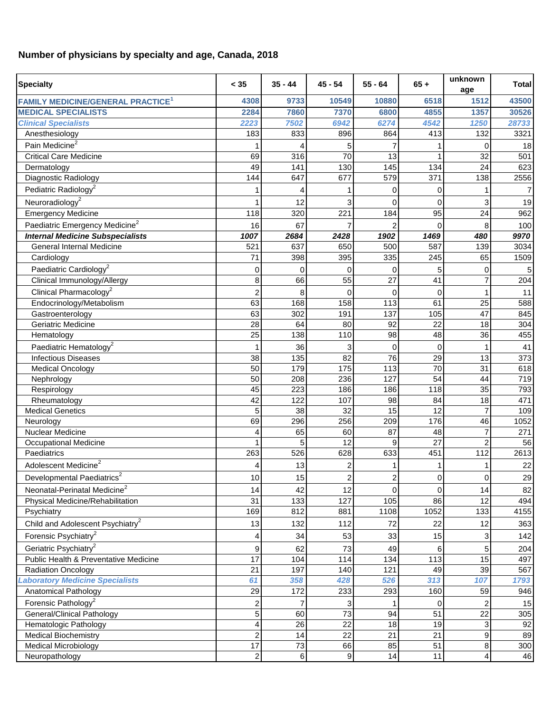## **Number of physicians by specialty and age, Canada, 2018**

| <b>Specialty</b>                                    | < 35                    | $35 - 44$      | $45 - 54$               | $55 - 64$   | $65 +$   | unknown<br>age                   | <b>Total</b> |
|-----------------------------------------------------|-------------------------|----------------|-------------------------|-------------|----------|----------------------------------|--------------|
| <b>FAMILY MEDICINE/GENERAL PRACTICE<sup>1</sup></b> | 4308                    | 9733           | 10549                   | 10880       | 6518     | 1512                             | 43500        |
| <b>MEDICAL SPECIALISTS</b>                          | 2284                    | 7860           | 7370                    | 6800        | 4855     | 1357                             | 30526        |
| <b>Clinical Specialists</b>                         | 2223                    | 7502           | 6942                    | 6274        | 4542     | 1250                             | 28733        |
| Anesthesiology                                      | 183                     | 833            | 896                     | 864         | 413      | 132                              | 3321         |
| Pain Medicine <sup>2</sup>                          |                         |                | 5                       |             |          | $\mathbf 0$                      | 18           |
| <b>Critical Care Medicine</b>                       | 69                      | 316            | 70                      | 13          |          | 32                               | 501          |
| Dermatology                                         | 49                      | 141            | 130                     | 145         | 134      | 24                               | 623          |
| Diagnostic Radiology                                | 144                     | 647            | 677                     | 579         | 371      | 138                              | 2556         |
| Pediatric Radiology <sup>2</sup>                    |                         | 4              | 1                       | $\Omega$    | 0        | 1                                | 7            |
| Neuroradiology <sup>2</sup>                         |                         | 12             | 3                       | $\Omega$    | $\Omega$ | 3                                | 19           |
| <b>Emergency Medicine</b>                           | 118                     | 320            | 221                     | 184         | 95       | 24                               | 962          |
| Paediatric Emergency Medicine <sup>2</sup>          | 16                      | 67             |                         |             | $\Omega$ | 8                                | 100          |
| <b>Internal Medicine Subspecialists</b>             | 1007                    | 2684           | 2428                    | 1902        | 1469     | 480                              | 9970         |
| <b>General Internal Medicine</b>                    | 521                     | 637            | 650                     | 500         | 587      | 139                              | 3034         |
| Cardiology                                          | 71                      | 398            | 395                     | 335         | 245      | 65                               | 1509         |
| Paediatric Cardiology <sup>2</sup>                  |                         |                |                         |             |          |                                  |              |
|                                                     | $\Omega$                | $\Omega$<br>66 | 0                       | 0<br>27     |          | 0<br>$\overline{7}$              | 5            |
| Clinical Immunology/Allergy                         | 8                       |                | 55                      |             | 41       |                                  | 204          |
| Clinical Pharmacology <sup>2</sup>                  | 2                       | 8              | $\Omega$                | $\mathbf 0$ | $\Omega$ | 1                                | 11           |
| Endocrinology/Metabolism                            | 63                      | 168            | 158                     | 113         | 61       | 25                               | 588          |
| Gastroenterology                                    | 63                      | 302            | 191                     | 137         | 105      | 47                               | 845          |
| Geriatric Medicine                                  | 28                      | 64             | 80                      | 92          | 22       | 18                               | 304          |
| Hematology                                          | 25                      | 138            | 110                     | 98          | 48       | 36                               | 455          |
| Paediatric Hematology <sup>2</sup>                  | 1                       | 36             | 3                       | $\Omega$    | $\Omega$ | 1                                | 41           |
| <b>Infectious Diseases</b>                          | 38                      | 135            | 82                      | 76          | 29       | 13                               | 373          |
| <b>Medical Oncology</b>                             | 50                      | 179            | 175                     | 113         | 70       | 31                               | 618          |
| Nephrology                                          | 50                      | 208            | 236                     | 127         | 54       | 44                               | 719          |
| Respirology                                         | 45                      | 223            | 186                     | 186         | 118      | 35                               | 793          |
| Rheumatology                                        | 42                      | 122            | 107                     | 98          | 84       | 18                               | 471          |
| <b>Medical Genetics</b>                             | 5                       | 38             | 32                      | 15          | 12       | $\overline{7}$                   | 109          |
| Neurology                                           | 69                      | 296            | 256                     | 209         | 176      | 46                               | 1052         |
| <b>Nuclear Medicine</b>                             | 4                       | 65<br>5        | 60<br>12                | 87<br>9     | 48<br>27 | $\overline{7}$<br>$\overline{2}$ | 271          |
| <b>Occupational Medicine</b><br>Paediatrics         |                         | 526            | 628                     |             | 451      | 112                              | 56           |
|                                                     | 263                     |                |                         | 633         |          |                                  | 2613         |
| Adolescent Medicine <sup>2</sup>                    | 4                       | 13             | 2                       |             |          | 1                                | 22           |
| Developmental Paediatrics <sup>2</sup>              | 10                      | 15             | $\overline{\mathbf{c}}$ | 2           | 0        | 0                                | 29           |
| Neonatal-Perinatal Medicine <sup>2</sup>            | 14                      | 42             | 12                      | 0           | $\Omega$ | 14                               | 82           |
| Physical Medicine/Rehabilitation                    | 31                      | 133            | 127                     | 105         | 86       | 12                               | 494          |
| Psychiatry                                          | 169                     | 812            | 881                     | 1108        | 1052     | 133                              | 4155         |
| Child and Adolescent Psychiatry <sup>2</sup>        | 13                      | 132            | 112                     | 72          | 22       | 12                               | 363          |
| Forensic Psychiatry <sup>2</sup>                    | 4                       | 34             | 53                      | 33          | 15       | 3                                | 142          |
| Geriatric Psychiatry <sup>2</sup>                   | 9                       | 62             | 73                      | 49          | 6        | 5                                | 204          |
| Public Health & Preventative Medicine               | $\overline{17}$         | 104            | 114                     | 134         | 113      | 15                               | 497          |
| <b>Radiation Oncology</b>                           | 21                      | 197            | 140                     | 121         | 49       | 39                               | 567          |
| aboratory Medicine Specialists                      | 61                      | 358            | 428                     | 526         | 313      | 107                              | 1793         |
| Anatomical Pathology                                | 29                      | 172            | 233                     | 293         | 160      | 59                               | 946          |
| Forensic Pathology <sup>2</sup>                     | 2                       | 7              | 3                       |             | 0        | $\overline{2}$                   | 15           |
| <b>General/Clinical Pathology</b>                   | 5                       | 60             | 73                      | 94          | 51       | 22                               | 305          |
| Hematologic Pathology                               | 4                       | 26             | 22                      | 18          | 19       | 3                                | 92           |
| <b>Medical Biochemistry</b>                         | 2                       | 14             | 22                      | 21          | 21       | $\boldsymbol{9}$                 | 89           |
| <b>Medical Microbiology</b>                         | 17                      | 73             | 66                      | 85          | 51       | 8                                | 300          |
| Neuropathology                                      | $\overline{\mathbf{c}}$ | 6              | $\boldsymbol{9}$        | 14          | 11       | $\overline{\mathbf{4}}$          | 46           |